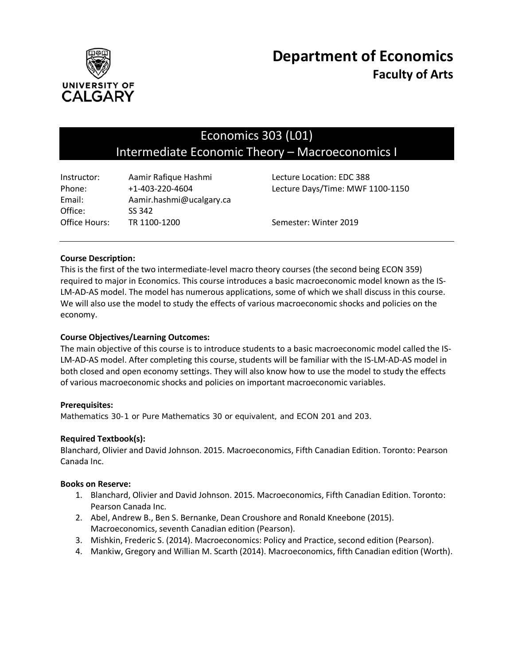

# Economics 303 (L01) Intermediate Economic Theory – Macroeconomics I

| Instructor:   | Aamir Rafique Hashmi                                        | Lecture Location: EDC 388 |
|---------------|-------------------------------------------------------------|---------------------------|
| Phone:        | Lecture Days/Time: MWF 1100-1150<br>$+1 - 403 - 220 - 4604$ |                           |
| Email:        | Aamir.hashmi@ucalgary.ca                                    |                           |
| Office:       | SS 342                                                      |                           |
| Office Hours: | TR 1100-1200                                                | Semester: Winter 2019     |

# **Course Description:**

This is the first of the two intermediate-level macro theory courses (the second being ECON 359) required to major in Economics. This course introduces a basic macroeconomic model known as the IS-LM-AD-AS model. The model has numerous applications, some of which we shall discuss in this course. We will also use the model to study the effects of various macroeconomic shocks and policies on the economy.

# **Course Objectives/Learning Outcomes:**

The main objective of this course is to introduce students to a basic macroeconomic model called the IS-LM-AD-AS model. After completing this course, students will be familiar with the IS-LM-AD-AS model in both closed and open economy settings. They will also know how to use the model to study the effects of various macroeconomic shocks and policies on important macroeconomic variables.

#### **Prerequisites:**

*Mathematics 30-1 or Pure Mathematics 30 or equivalent, and ECON 201 and 203*.

#### **Required Textbook(s):**

Blanchard, Olivier and David Johnson. 2015. Macroeconomics, Fifth Canadian Edition. Toronto: Pearson Canada Inc.

#### **Books on Reserve:**

- 1. Blanchard, Olivier and David Johnson. 2015. Macroeconomics, Fifth Canadian Edition. Toronto: Pearson Canada Inc.
- 2. Abel, Andrew B., Ben S. Bernanke, Dean Croushore and Ronald Kneebone (2015). Macroeconomics, seventh Canadian edition (Pearson).
- 3. Mishkin, Frederic S. (2014). Macroeconomics: Policy and Practice, second edition (Pearson).
- 4. Mankiw, Gregory and Willian M. Scarth (2014). Macroeconomics, fifth Canadian edition (Worth).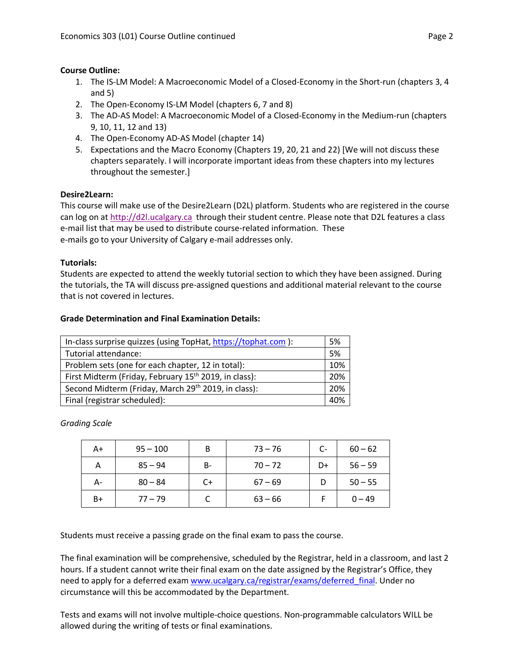# **Course Outline:**

- 1. The IS-LM Model: A Macroeconomic Model of a Closed-Economy in the Short-run (chapters 3, 4 and 5)
- 2. The Open-Economy IS-LM Model (chapters 6, 7 and 8)
- 3. The AD-AS Model: A Macroeconomic Model of a Closed-Economy in the Medium-run (chapters 9, 10, 11, 12 and 13)
- 4. The Open-Economy AD-AS Model (chapter 14)
- 5. Expectations and the Macro Economy (Chapters 19, 20, 21 and 22) [We will not discuss these chapters separately. I will incorporate important ideas from these chapters into my lectures throughout the semester.]

# **Desire2Learn:**

This course will make use of the Desire2Learn (D2L) platform. Students who are registered in the course can log on at [http://d2l.ucalgary.ca](http://d2l.ucalgary.ca/) through their student centre. Please note that D2L features a class e-mail list that may be used to distribute course-related information. These e-mails go to your University of Calgary e-mail addresses only.

# **Tutorials:**

Students are expected to attend the weekly tutorial section to which they have been assigned. During the tutorials, the TA will discuss pre-assigned questions and additional material relevant to the course that is not covered in lectures.

# **Grade Determination and Final Examination Details:**

| In-class surprise quizzes (using TopHat, https://tophat.com ):    |  |  |
|-------------------------------------------------------------------|--|--|
| Tutorial attendance:                                              |  |  |
| Problem sets (one for each chapter, 12 in total):                 |  |  |
| First Midterm (Friday, February 15 <sup>th</sup> 2019, in class): |  |  |
| Second Midterm (Friday, March 29 <sup>th</sup> 2019, in class):   |  |  |
| Final (registrar scheduled):                                      |  |  |

*Grading Scale*

| A+   | $95 - 100$ | В  | $73 - 76$ | $C-$ | $60 - 62$ |
|------|------------|----|-----------|------|-----------|
| Α    | $85 - 94$  | B- | $70 - 72$ | D+   | $56 - 59$ |
| А-   | $80 - 84$  | C+ | $67 - 69$ |      | $50 - 55$ |
| $B+$ | $77 - 79$  |    | $63 - 66$ |      | $0 - 49$  |

Students must receive a passing grade on the final exam to pass the course.

The final examination will be comprehensive, scheduled by the Registrar, held in a classroom, and last 2 hours. If a student cannot write their final exam on the date assigned by the Registrar's Office, they need to apply for a deferred exam [www.ucalgary.ca/registrar/exams/deferred\\_final.](http://www.ucalgary.ca/registrar/exams/deferred_final) Under no circumstance will this be accommodated by the Department.

Tests and exams will not involve multiple-choice questions. Non-programmable calculators WILL be allowed during the writing of tests or final examinations.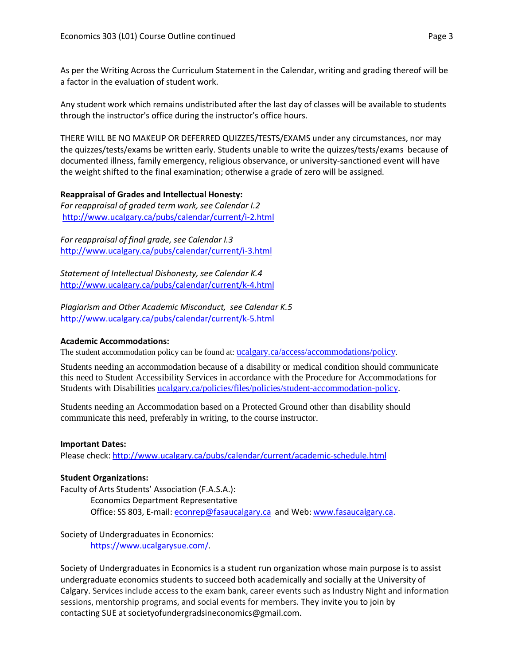As per the Writing Across the Curriculum Statement in the Calendar, writing and grading thereof will be a factor in the evaluation of student work.

Any student work which remains undistributed after the last day of classes will be available to students through the instructor's office during the instructor's office hours.

THERE WILL BE NO MAKEUP OR DEFERRED QUIZZES/TESTS/EXAMS under any circumstances, nor may the quizzes/tests/exams be written early. Students unable to write the quizzes/tests/exams because of documented illness, family emergency, religious observance, or university-sanctioned event will have the weight shifted to the final examination; otherwise a grade of zero will be assigned.

# **Reappraisal of Grades and Intellectual Honesty:**

*For reappraisal of graded term work, see Calendar I.2* <http://www.ucalgary.ca/pubs/calendar/current/i-2.html>

*For reappraisal of final grade, see Calendar I.3* <http://www.ucalgary.ca/pubs/calendar/current/i-3.html>

*Statement of Intellectual Dishonesty, see Calendar K.4* <http://www.ucalgary.ca/pubs/calendar/current/k-4.html>

*Plagiarism and Other Academic Misconduct, see Calendar K.5* <http://www.ucalgary.ca/pubs/calendar/current/k-5.html>

# **Academic Accommodations:**

The student accommodation policy can be found at: [ucalgary.ca/access/accommodations/policy.](http://www.ucalgary.ca/access/accommodations/policy)

Students needing an accommodation because of a disability or medical condition should communicate this need to Student Accessibility Services in accordance with the Procedure for Accommodations for Students with Disabilities [ucalgary.ca/policies/files/policies/student-accommodation-policy.](http://www.ucalgary.ca/policies/files/policies/student-accommodation-policy.pdf)

Students needing an Accommodation based on a Protected Ground other than disability should communicate this need, preferably in writing, to the course instructor.

#### **Important Dates:**

Please check:<http://www.ucalgary.ca/pubs/calendar/current/academic-schedule.html>

# **Student Organizations:**

Faculty of Arts Students' Association (F.A.S.A.): Economics Department Representative Office: SS 803, E-mail: [econrep@fasaucalgary.ca](mailto:econrep@fasaucalgary.ca) and Web[: www.fasaucalgary.ca.](http://www.fasaucalgary.ca/)

Society of Undergraduates in Economics: [https://www.ucalgarysue.com/.](https://www.ucalgarysue.com/)

Society of Undergraduates in Economics is a student run organization whose main purpose is to assist undergraduate economics students to succeed both academically and socially at the University of Calgary. Services include access to the exam bank, career events such as Industry Night and information sessions, mentorship programs, and social events for members. They invite you to join by contacting SUE at societyofundergradsineconomics@gmail.com.